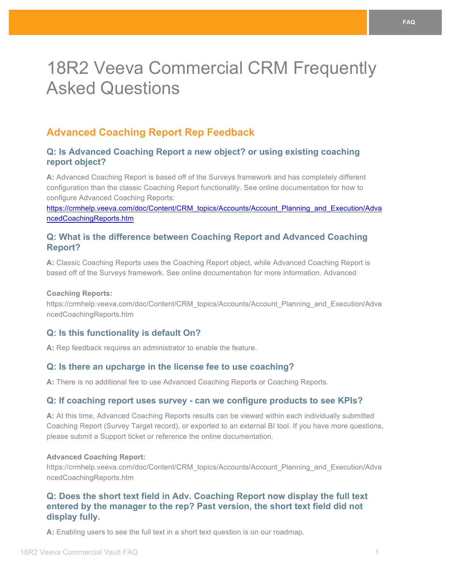# 18R2 Veeva Commercial CRM Frequently Asked Questions

# **Advanced Coaching Report Rep Feedback**

## **Q: Is Advanced Coaching Report a new object? or using existing coaching report object?**

**A:** Advanced Coaching Report is based off of the Surveys framework and has completely different configuration than the classic Coaching Report functionality. See online documentation for how to configure Advanced Coaching Reports:

https://crmhelp.veeva.com/doc/Content/CRM\_topics/Accounts/Account\_Planning\_and\_Execution/Adva ncedCoachingReports.htm

## **Q: What is the difference between Coaching Report and Advanced Coaching Report?**

**A:** Classic Coaching Reports uses the Coaching Report object, while Advanced Coaching Report is based off of the Surveys framework. See online documentation for more information. Advanced

#### **Coaching Reports:**

https://crmhelp.veeva.com/doc/Content/CRM\_topics/Accounts/Account\_Planning\_and\_Execution/Adva ncedCoachingReports.htm

## **Q: Is this functionality is default On?**

**A:** Rep feedback requires an administrator to enable the feature.

## **Q: Is there an upcharge in the license fee to use coaching?**

A: There is no additional fee to use Advanced Coaching Reports or Coaching Reports.

## **Q: If coaching report uses survey - can we configure products to see KPIs?**

**A:** At this time, Advanced Coaching Reports results can be viewed within each individually submitted Coaching Report (Survey Target record), or exported to an external BI tool. If you have more questions, please submit a Support ticket or reference the online documentation.

#### **Advanced Coaching Report:**

https://crmhelp.veeva.com/doc/Content/CRM\_topics/Accounts/Account\_Planning\_and\_Execution/Adva ncedCoachingReports.htm

## **Q: Does the short text field in Adv. Coaching Report now display the full text entered by the manager to the rep? Past version, the short text field did not display fully.**

**A:** Enabling users to see the full text in a short text question is on our roadmap.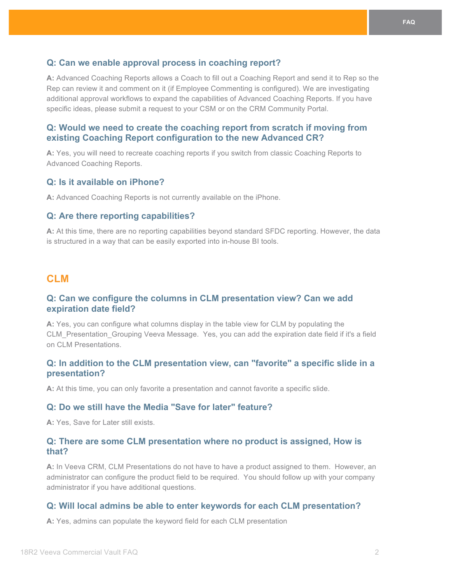## **Q: Can we enable approval process in coaching report?**

**A:** Advanced Coaching Reports allows a Coach to fill out a Coaching Report and send it to Rep so the Rep can review it and comment on it (if Employee Commenting is configured). We are investigating additional approval workflows to expand the capabilities of Advanced Coaching Reports. If you have specific ideas, please submit a request to your CSM or on the CRM Community Portal.

## **Q: Would we need to create the coaching report from scratch if moving from existing Coaching Report configuration to the new Advanced CR?**

**A:** Yes, you will need to recreate coaching reports if you switch from classic Coaching Reports to Advanced Coaching Reports.

## **Q: Is it available on iPhone?**

**A:** Advanced Coaching Reports is not currently available on the iPhone.

#### **Q: Are there reporting capabilities?**

**A:** At this time, there are no reporting capabilities beyond standard SFDC reporting. However, the data is structured in a way that can be easily exported into in-house BI tools.

## **CLM**

## **Q: Can we configure the columns in CLM presentation view? Can we add expiration date field?**

**A:** Yes, you can configure what columns display in the table view for CLM by populating the CLM\_Presentation\_Grouping Veeva Message. Yes, you can add the expiration date field if it's a field on CLM Presentations.

## **Q: In addition to the CLM presentation view, can "favorite" a specific slide in a presentation?**

**A:** At this time, you can only favorite a presentation and cannot favorite a specific slide.

## **Q: Do we still have the Media "Save for later" feature?**

**A:** Yes, Save for Later still exists.

## **Q: There are some CLM presentation where no product is assigned, How is that?**

**A:** In Veeva CRM, CLM Presentations do not have to have a product assigned to them. However, an administrator can configure the product field to be required. You should follow up with your company administrator if you have additional questions.

#### **Q: Will local admins be able to enter keywords for each CLM presentation?**

**A:** Yes, admins can populate the keyword field for each CLM presentation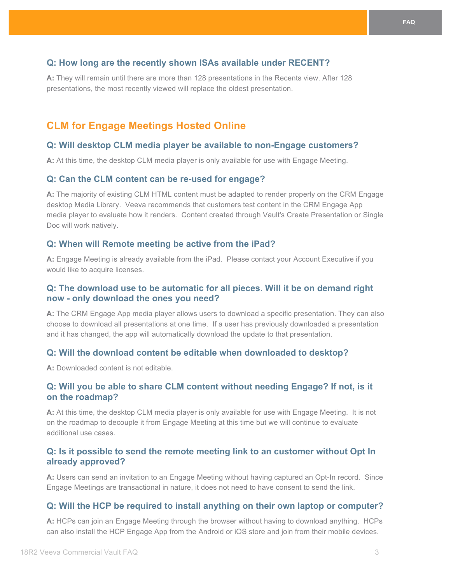## **Q: How long are the recently shown ISAs available under RECENT?**

**A:** They will remain until there are more than 128 presentations in the Recents view. After 128 presentations, the most recently viewed will replace the oldest presentation.

# **CLM for Engage Meetings Hosted Online**

#### **Q: Will desktop CLM media player be available to non-Engage customers?**

**A:** At this time, the desktop CLM media player is only available for use with Engage Meeting.

#### **Q: Can the CLM content can be re-used for engage?**

**A:** The majority of existing CLM HTML content must be adapted to render properly on the CRM Engage desktop Media Library. Veeva recommends that customers test content in the CRM Engage App media player to evaluate how it renders. Content created through Vault's Create Presentation or Single Doc will work natively.

#### **Q: When will Remote meeting be active from the iPad?**

**A:** Engage Meeting is already available from the iPad. Please contact your Account Executive if you would like to acquire licenses.

## **Q: The download use to be automatic for all pieces. Will it be on demand right now - only download the ones you need?**

**A:** The CRM Engage App media player allows users to download a specific presentation. They can also choose to download all presentations at one time. If a user has previously downloaded a presentation and it has changed, the app will automatically download the update to that presentation.

#### **Q: Will the download content be editable when downloaded to desktop?**

**A:** Downloaded content is not editable.

## **Q: Will you be able to share CLM content without needing Engage? If not, is it on the roadmap?**

**A:** At this time, the desktop CLM media player is only available for use with Engage Meeting. It is not on the roadmap to decouple it from Engage Meeting at this time but we will continue to evaluate additional use cases.

## **Q: Is it possible to send the remote meeting link to an customer without Opt In already approved?**

**A:** Users can send an invitation to an Engage Meeting without having captured an Opt-In record. Since Engage Meetings are transactional in nature, it does not need to have consent to send the link.

## **Q: Will the HCP be required to install anything on their own laptop or computer?**

**A:** HCPs can join an Engage Meeting through the browser without having to download anything. HCPs can also install the HCP Engage App from the Android or iOS store and join from their mobile devices.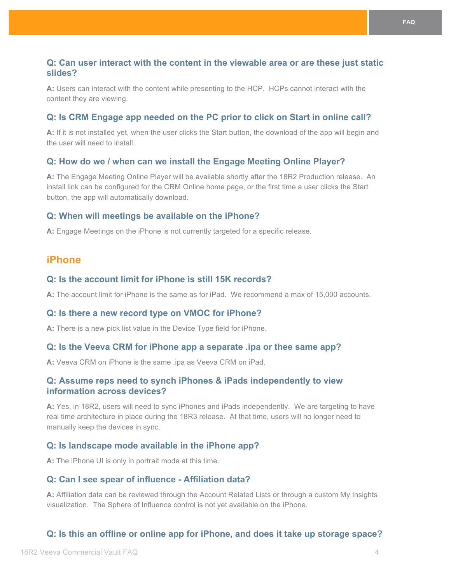## **Q: Can user interact with the content in the viewable area or are these just static slides?**

**A:** Users can interact with the content while presenting to the HCP. HCPs cannot interact with the content they are viewing.

## **Q: Is CRM Engage app needed on the PC prior to click on Start in online call?**

**A:** If it is not installed yet, when the user clicks the Start button, the download of the app will begin and the user will need to install.

## **Q: How do we / when can we install the Engage Meeting Online Player?**

**A:** The Engage Meeting Online Player will be available shortly after the 18R2 Production release. An install link can be configured for the CRM Online home page, or the first time a user clicks the Start button, the app will automatically download.

#### **Q: When will meetings be available on the iPhone?**

**A:** Engage Meetings on the iPhone is not currently targeted for a specific release.

# **iPhone**

## **Q: Is the account limit for iPhone is still 15K records?**

**A:** The account limit for iPhone is the same as for iPad. We recommend a max of 15,000 accounts.

#### **Q: Is there a new record type on VMOC for iPhone?**

**A:** There is a new pick list value in the Device Type field for iPhone.

#### **Q: Is the Veeva CRM for iPhone app a separate .ipa or thee same app?**

**A:** Veeva CRM on iPhone is the same .ipa as Veeva CRM on iPad.

## **Q: Assume reps need to synch iPhones & iPads independently to view information across devices?**

**A:** Yes, in 18R2, users will need to sync iPhones and iPads independently. We are targeting to have real time architecture in place during the 18R3 release. At that time, users will no longer need to manually keep the devices in sync.

#### **Q: Is landscape mode available in the iPhone app?**

**A:** The iPhone UI is only in portrait mode at this time.

#### **Q: Can I see spear of influence - Affiliation data?**

**A:** Affiliation data can be reviewed through the Account Related Lists or through a custom My Insights visualization. The Sphere of Influence control is not yet available on the iPhone.

## **Q: Is this an offline or online app for iPhone, and does it take up storage space?**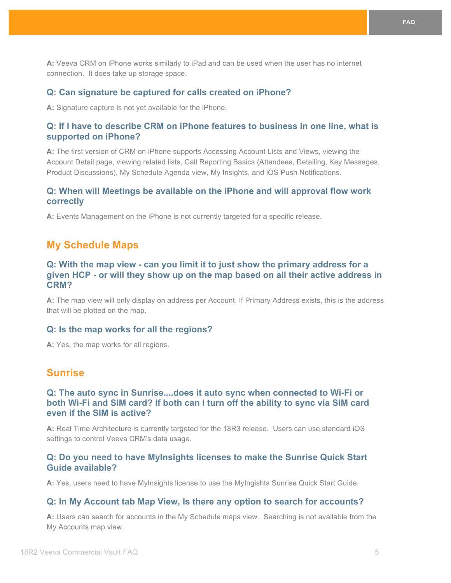**A:** Veeva CRM on iPhone works similarly to iPad and can be used when the user has no internet connection. It does take up storage space.

#### **Q: Can signature be captured for calls created on iPhone?**

**A:** Signature capture is not yet available for the iPhone.

## **Q: If I have to describe CRM on iPhone features to business in one line, what is supported on iPhone?**

**A:** The first version of CRM on iPhone supports Accessing Account Lists and Views, viewing the Account Detail page, viewing related lists, Call Reporting Basics (Attendees, Detailing, Key Messages, Product Discussions), My Schedule Agenda view, My Insights, and iOS Push Notifications.

## **Q: When will Meetings be available on the iPhone and will approval flow work correctly**

**A:** Events Management on the iPhone is not currently targeted for a specific release.

## **My Schedule Maps**

## **Q: With the map view - can you limit it to just show the primary address for a given HCP - or will they show up on the map based on all their active address in CRM?**

**A:** The map view will only display on address per Account. If Primary Address exists, this is the address that will be plotted on the map.

#### **Q: Is the map works for all the regions?**

**A:** Yes, the map works for all regions.

# **Sunrise**

## **Q: The auto sync in Sunrise....does it auto sync when connected to Wi-Fi or both Wi-Fi and SIM card? If both can I turn off the ability to sync via SIM card even if the SIM is active?**

**A:** Real Time Architecture is currently targeted for the 18R3 release. Users can use standard iOS settings to control Veeva CRM's data usage.

## **Q: Do you need to have MyInsights licenses to make the Sunrise Quick Start Guide available?**

**A:** Yes, users need to have MyInsights license to use the MyIngishts Sunrise Quick Start Guide.

#### **Q: In My Account tab Map View, Is there any option to search for accounts?**

**A:** Users can search for accounts in the My Schedule maps view. Searching is not available from the My Accounts map view.